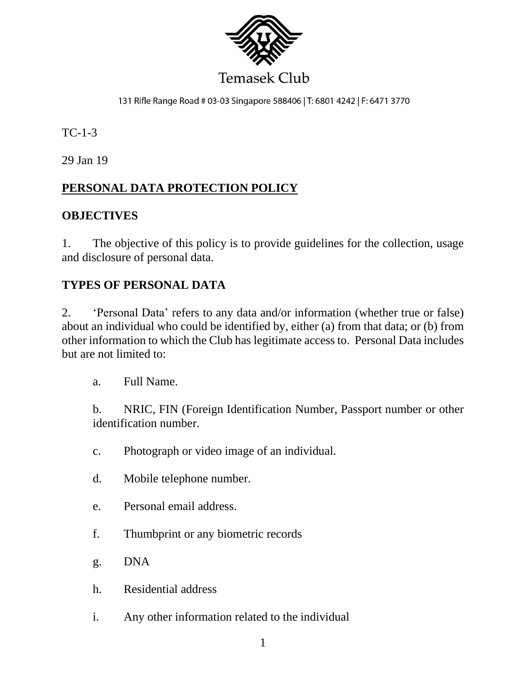

# **Temasek Club**

131 Rifle Range Road # 03-03 Singapore 588406 | T: 6801 4242 | F: 6471 3770

TC-1-3

29 Jan 19

# **PERSONAL DATA PROTECTION POLICY**

#### **OBJECTIVES**

1. The objective of this policy is to provide guidelines for the collection, usage and disclosure of personal data.

## **TYPES OF PERSONAL DATA**

2. 'Personal Data' refers to any data and/or information (whether true or false) about an individual who could be identified by, either (a) from that data; or (b) from other information to which the Club has legitimate access to. Personal Data includes but are not limited to:

a. Full Name.

b. NRIC, FIN (Foreign Identification Number, Passport number or other identification number.

- c. Photograph or video image of an individual.
- d. Mobile telephone number.
- e. Personal email address.
- f. Thumbprint or any biometric records
- g. DNA
- h. Residential address
- i. Any other information related to the individual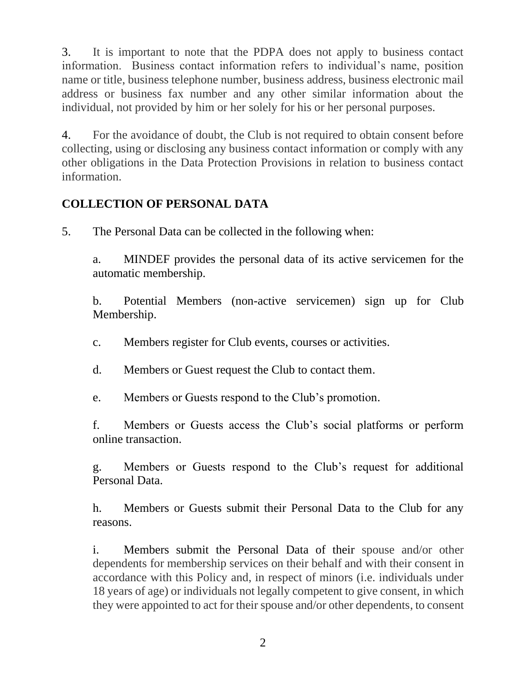3. It is important to note that the PDPA does not apply to business contact information. Business contact information refers to individual's name, position name or title, business telephone number, business address, business electronic mail address or business fax number and any other similar information about the individual, not provided by him or her solely for his or her personal purposes.

4. For the avoidance of doubt, the Club is not required to obtain consent before collecting, using or disclosing any business contact information or comply with any other obligations in the Data Protection Provisions in relation to business contact information.

## **COLLECTION OF PERSONAL DATA**

5. The Personal Data can be collected in the following when:

a. MINDEF provides the personal data of its active servicemen for the automatic membership.

b. Potential Members (non-active servicemen) sign up for Club Membership.

c. Members register for Club events, courses or activities.

d. Members or Guest request the Club to contact them.

e. Members or Guests respond to the Club's promotion.

f. Members or Guests access the Club's social platforms or perform online transaction.

g. Members or Guests respond to the Club's request for additional Personal Data.

h. Members or Guests submit their Personal Data to the Club for any reasons.

i. Members submit the Personal Data of their spouse and/or other dependents for membership services on their behalf and with their consent in accordance with this Policy and, in respect of minors (i.e. individuals under 18 years of age) or individuals not legally competent to give consent, in which they were appointed to act for their spouse and/or other dependents, to consent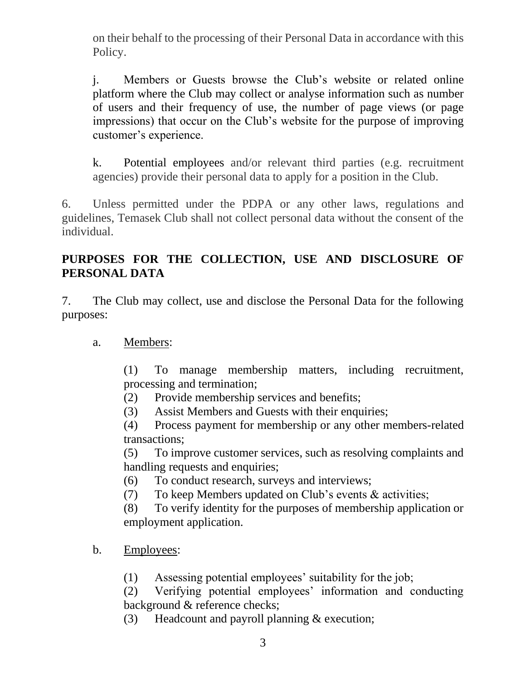on their behalf to the processing of their Personal Data in accordance with this Policy.

j. Members or Guests browse the Club's website or related online platform where the Club may collect or analyse information such as number of users and their frequency of use, the number of page views (or page impressions) that occur on the Club's website for the purpose of improving customer's experience.

k. Potential employees and/or relevant third parties (e.g. recruitment agencies) provide their personal data to apply for a position in the Club.

6. Unless permitted under the PDPA or any other laws, regulations and guidelines, Temasek Club shall not collect personal data without the consent of the individual.

## **PURPOSES FOR THE COLLECTION, USE AND DISCLOSURE OF PERSONAL DATA**

7. The Club may collect, use and disclose the Personal Data for the following purposes:

a. Members:

(1) To manage membership matters, including recruitment, processing and termination;

- (2) Provide membership services and benefits;
- (3) Assist Members and Guests with their enquiries;
- (4) Process payment for membership or any other members-related transactions;

(5) To improve customer services, such as resolving complaints and handling requests and enquiries;

- (6) To conduct research, surveys and interviews;
- (7) To keep Members updated on Club's events & activities;

(8) To verify identity for the purposes of membership application or employment application.

- b. Employees:
	- (1) Assessing potential employees' suitability for the job;

(2) Verifying potential employees' information and conducting background & reference checks;

(3) Headcount and payroll planning & execution;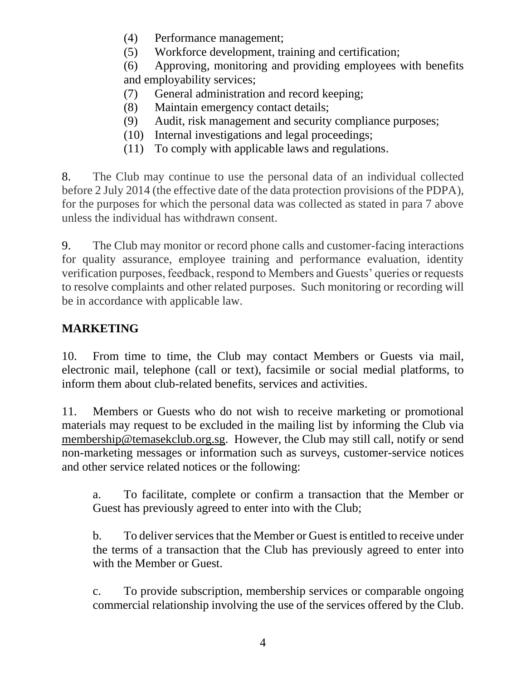- (4) Performance management;
- (5) Workforce development, training and certification;

(6) Approving, monitoring and providing employees with benefits and employability services;

- (7) General administration and record keeping;
- (8) Maintain emergency contact details;
- (9) Audit, risk management and security compliance purposes;
- (10) Internal investigations and legal proceedings;
- (11) To comply with applicable laws and regulations.

8. The Club may continue to use the personal data of an individual collected before 2 July 2014 (the effective date of the data protection provisions of the PDPA), for the purposes for which the personal data was collected as stated in para 7 above unless the individual has withdrawn consent.

9. The Club may monitor or record phone calls and customer-facing interactions for quality assurance, employee training and performance evaluation, identity verification purposes, feedback, respond to Members and Guests' queries or requests to resolve complaints and other related purposes. Such monitoring or recording will be in accordance with applicable law.

# **MARKETING**

10. From time to time, the Club may contact Members or Guests via mail, electronic mail, telephone (call or text), facsimile or social medial platforms, to inform them about club-related benefits, services and activities.

11. Members or Guests who do not wish to receive marketing or promotional materials may request to be excluded in the mailing list by informing the Club via [membership@temasekclub.org.sg.](mailto:membership@temasekclub.org.sg) However, the Club may still call, notify or send non-marketing messages or information such as surveys, customer-service notices and other service related notices or the following:

a. To facilitate, complete or confirm a transaction that the Member or Guest has previously agreed to enter into with the Club;

b. To deliver services that the Member or Guest is entitled to receive under the terms of a transaction that the Club has previously agreed to enter into with the Member or Guest.

c. To provide subscription, membership services or comparable ongoing commercial relationship involving the use of the services offered by the Club.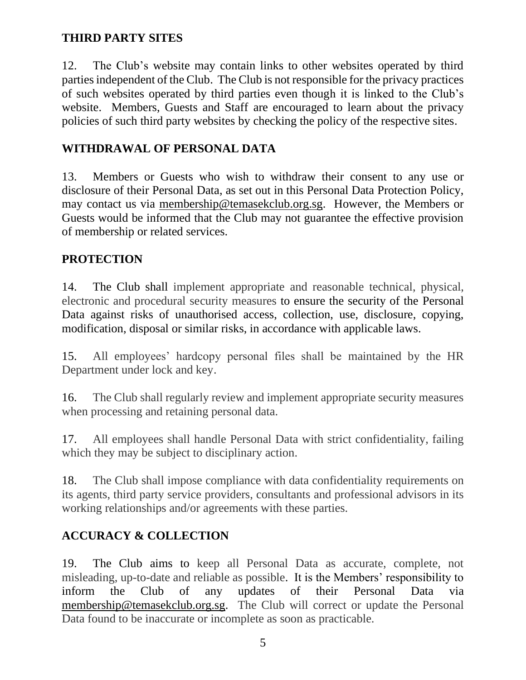## **THIRD PARTY SITES**

12. The Club's website may contain links to other websites operated by third parties independent of the Club. The Club is not responsible for the privacy practices of such websites operated by third parties even though it is linked to the Club's website. Members, Guests and Staff are encouraged to learn about the privacy policies of such third party websites by checking the policy of the respective sites.

## **WITHDRAWAL OF PERSONAL DATA**

13. Members or Guests who wish to withdraw their consent to any use or disclosure of their Personal Data, as set out in this Personal Data Protection Policy, may contact us via [membership@temasekclub.org.sg.](mailto:membership@temasekclub.org.sg) However, the Members or Guests would be informed that the Club may not guarantee the effective provision of membership or related services.

#### **PROTECTION**

14. The Club shall implement appropriate and reasonable technical, physical, electronic and procedural security measures to ensure the security of the Personal Data against risks of unauthorised access, collection, use, disclosure, copying, modification, disposal or similar risks, in accordance with applicable laws.

15. All employees' hardcopy personal files shall be maintained by the HR Department under lock and key.

16. The Club shall regularly review and implement appropriate security measures when processing and retaining personal data.

17. All employees shall handle Personal Data with strict confidentiality, failing which they may be subject to disciplinary action.

18. The Club shall impose compliance with data confidentiality requirements on its agents, third party service providers, consultants and professional advisors in its working relationships and/or agreements with these parties.

## **ACCURACY & COLLECTION**

19. The Club aims to keep all Personal Data as accurate, complete, not misleading, up-to-date and reliable as possible. It is the Members' responsibility to inform the Club of any updates of their Personal Data via [membership@temasekclub.org.sg.](mailto:membership@temasekclub.org.sg) The Club will correct or update the Personal Data found to be inaccurate or incomplete as soon as practicable.